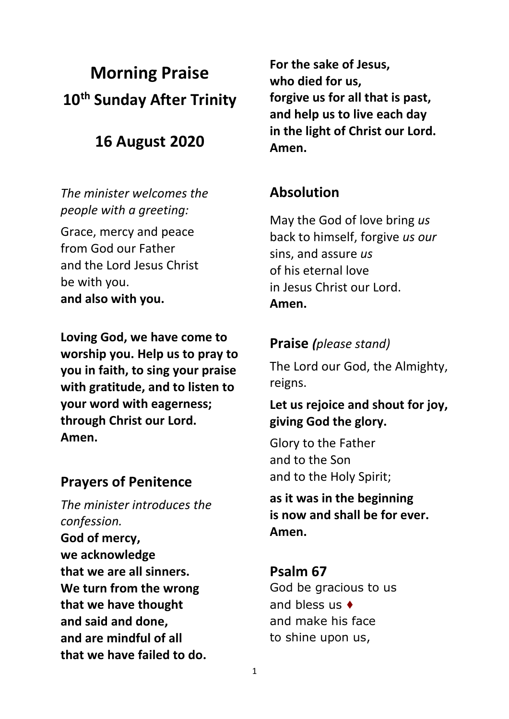# **Morning Praise 10th Sunday After Trinity**

## **16 August 2020**

*The minister welcomes the people with a greeting:*

Grace, mercy and peace from God our Father and the Lord Jesus Christ be with you. **and also with you.**

**Loving God, we have come to worship you. Help us to pray to you in faith, to sing your praise with gratitude, and to listen to your word with eagerness; through Christ our Lord. Amen.**

#### **Prayers of Penitence**

*The minister introduces the confession.* **God of mercy, we acknowledge that we are all sinners. We turn from the wrong that we have thought and said and done, and are mindful of all that we have failed to do.**

**For the sake of Jesus, who died for us, forgive us for all that is past, and help us to live each day in the light of Christ our Lord. Amen.**

## **Absolution**

May the God of love bring *us*  back to himself, forgive *us our*  sins, and assure *us*  of his eternal love in Jesus Christ our Lord. **Amen.**

#### **Praise** *(please stand)*

The Lord our God, the Almighty, reigns.

#### **Let us rejoice and shout for joy, giving God the glory.**

Glory to the Father and to the Son and to the Holy Spirit;

**as it was in the beginning is now and shall be for ever. Amen.**

#### **Psalm 67**

God be gracious to us and bless us ♦︎ and make his face to shine upon us,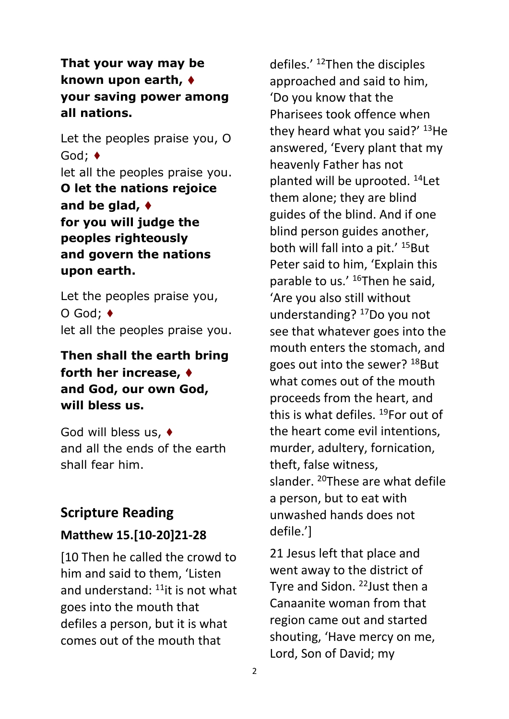#### **That your way may be known upon earth,** ♦︎ **your saving power among all nations.**

Let the peoples praise you, O God; ♦︎ let all the peoples praise you. **O let the nations rejoice and be glad,** ♦︎ **for you will judge the peoples righteously and govern the nations upon earth.**

Let the peoples praise you, O God; ♦︎ let all the peoples praise you.

### **Then shall the earth bring forth her increase,** ♦︎ **and God, our own God, will bless us.**

God will bless us, ♦︎ and all the ends of the earth shall fear him.

## **Scripture Reading**

#### **Matthew 15.[10-20]21-28**

[10 Then he called the crowd to him and said to them, 'Listen and understand:  $11$ <sup>t</sup> it is not what goes into the mouth that defiles a person, but it is what comes out of the mouth that

defiles.' <sup>12</sup>Then the disciples approached and said to him, 'Do you know that the Pharisees took offence when they heard what you said?'  $13$ He answered, 'Every plant that my heavenly Father has not planted will be uprooted. <sup>14</sup>Let them alone; they are blind guides of the blind. And if one blind person guides another, both will fall into a pit.' <sup>15</sup>But Peter said to him, 'Explain this parable to us.' <sup>16</sup>Then he said, 'Are you also still without understanding? <sup>17</sup>Do you not see that whatever goes into the mouth enters the stomach, and goes out into the sewer? <sup>18</sup>But what comes out of the mouth proceeds from the heart, and this is what defiles.  $^{19}$ For out of the heart come evil intentions, murder, adultery, fornication, theft, false witness, slander. <sup>20</sup>These are what defile a person, but to eat with unwashed hands does not defile.']

21 Jesus left that place and went away to the district of Tyre and Sidon. <sup>22</sup> Just then a Canaanite woman from that region came out and started shouting, 'Have mercy on me, Lord, Son of David; my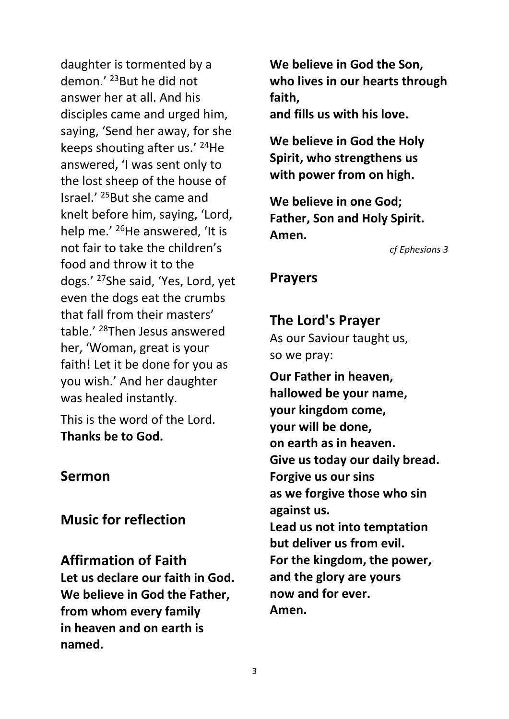daughter is tormented by a demon.' <sup>23</sup>But he did not answer her at all. And his disciples came and urged him, saying, 'Send her away, for she keeps shouting after us.' <sup>24</sup>He answered, 'I was sent only to the lost sheep of the house of Israel.' <sup>25</sup>But she came and knelt before him, saying, 'Lord, help me.' <sup>26</sup>He answered, 'It is not fair to take the children's food and throw it to the dogs.' <sup>27</sup>She said, 'Yes, Lord, yet even the dogs eat the crumbs that fall from their masters' table.' <sup>28</sup>Then Jesus answered her, 'Woman, great is your faith! Let it be done for you as you wish.' And her daughter was healed instantly.

This is the word of the Lord. **Thanks be to God.**

#### **Sermon**

#### **Music for reflection**

**Affirmation of Faith Let us declare our faith in God. We believe in God the Father, from whom every family in heaven and on earth is named.**

**We believe in God the Son, who lives in our hearts through faith,**

**and fills us with his love.**

**We believe in God the Holy Spirit, who strengthens us with power from on high.**

**We believe in one God; Father, Son and Holy Spirit. Amen.**

*cf Ephesians 3*

#### **Prayers**

**The Lord's Prayer** As our Saviour taught us, so we pray:

**Our Father in heaven, hallowed be your name, your kingdom come, your will be done, on earth as in heaven. Give us today our daily bread. Forgive us our sins as we forgive those who sin against us. Lead us not into temptation but deliver us from evil. For the kingdom, the power, and the glory are yours now and for ever. Amen.**